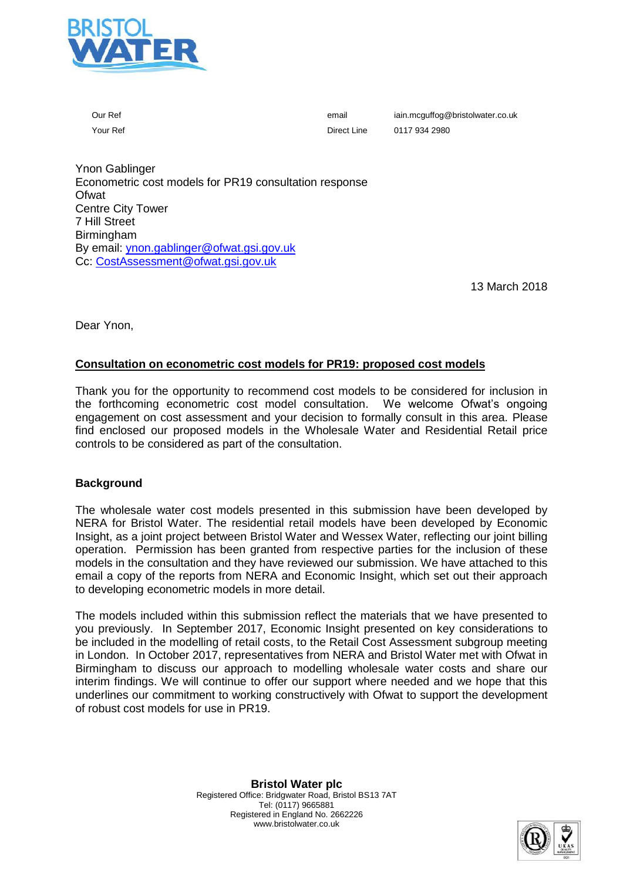

Our Ref email iain.mcguffog@bristolwater.co.uk Your Ref **Direct Line** 0117 934 2980

Ynon Gablinger Econometric cost models for PR19 consultation response **Ofwat** Centre City Tower 7 Hill Street Birmingham By email: [ynon.gablinger@ofwat.gsi.gov.uk](mailto:ynon.gablinger@ofwat.gsi.gov.uk) Cc: CostAssessment@ofwat.gsi.gov.uk

13 March 2018

Dear Ynon,

#### **Consultation on econometric cost models for PR19: proposed cost models**

Thank you for the opportunity to recommend cost models to be considered for inclusion in the forthcoming econometric cost model consultation. We welcome Ofwat's ongoing engagement on cost assessment and your decision to formally consult in this area. Please find enclosed our proposed models in the Wholesale Water and Residential Retail price controls to be considered as part of the consultation.

#### **Background**

The wholesale water cost models presented in this submission have been developed by NERA for Bristol Water. The residential retail models have been developed by Economic Insight, as a joint project between Bristol Water and Wessex Water, reflecting our joint billing operation. Permission has been granted from respective parties for the inclusion of these models in the consultation and they have reviewed our submission. We have attached to this email a copy of the reports from NERA and Economic Insight, which set out their approach to developing econometric models in more detail.

The models included within this submission reflect the materials that we have presented to you previously. In September 2017, Economic Insight presented on key considerations to be included in the modelling of retail costs, to the Retail Cost Assessment subgroup meeting in London. In October 2017, representatives from NERA and Bristol Water met with Ofwat in Birmingham to discuss our approach to modelling wholesale water costs and share our interim findings. We will continue to offer our support where needed and we hope that this underlines our commitment to working constructively with Ofwat to support the development of robust cost models for use in PR19.

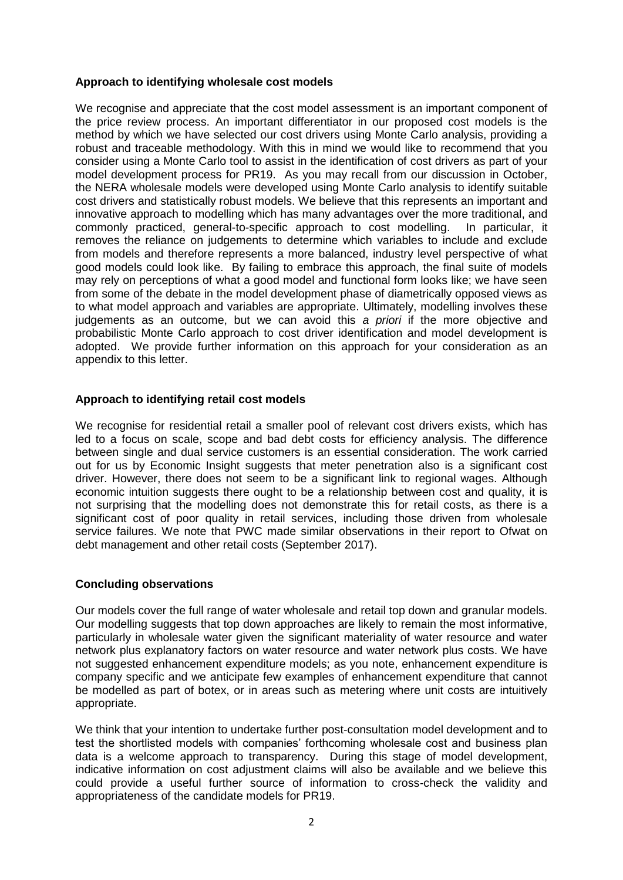### **Approach to identifying wholesale cost models**

We recognise and appreciate that the cost model assessment is an important component of the price review process. An important differentiator in our proposed cost models is the method by which we have selected our cost drivers using Monte Carlo analysis, providing a robust and traceable methodology. With this in mind we would like to recommend that you consider using a Monte Carlo tool to assist in the identification of cost drivers as part of your model development process for PR19. As you may recall from our discussion in October, the NERA wholesale models were developed using Monte Carlo analysis to identify suitable cost drivers and statistically robust models. We believe that this represents an important and innovative approach to modelling which has many advantages over the more traditional, and commonly practiced, general-to-specific approach to cost modelling. In particular, it removes the reliance on judgements to determine which variables to include and exclude from models and therefore represents a more balanced, industry level perspective of what good models could look like. By failing to embrace this approach, the final suite of models may rely on perceptions of what a good model and functional form looks like; we have seen from some of the debate in the model development phase of diametrically opposed views as to what model approach and variables are appropriate. Ultimately, modelling involves these judgements as an outcome, but we can avoid this *a priori* if the more objective and probabilistic Monte Carlo approach to cost driver identification and model development is adopted. We provide further information on this approach for your consideration as an appendix to this letter.

### **Approach to identifying retail cost models**

We recognise for residential retail a smaller pool of relevant cost drivers exists, which has led to a focus on scale, scope and bad debt costs for efficiency analysis. The difference between single and dual service customers is an essential consideration. The work carried out for us by Economic Insight suggests that meter penetration also is a significant cost driver. However, there does not seem to be a significant link to regional wages. Although economic intuition suggests there ought to be a relationship between cost and quality, it is not surprising that the modelling does not demonstrate this for retail costs, as there is a significant cost of poor quality in retail services, including those driven from wholesale service failures. We note that PWC made similar observations in their report to Ofwat on debt management and other retail costs (September 2017).

# **Concluding observations**

Our models cover the full range of water wholesale and retail top down and granular models. Our modelling suggests that top down approaches are likely to remain the most informative, particularly in wholesale water given the significant materiality of water resource and water network plus explanatory factors on water resource and water network plus costs. We have not suggested enhancement expenditure models; as you note, enhancement expenditure is company specific and we anticipate few examples of enhancement expenditure that cannot be modelled as part of botex, or in areas such as metering where unit costs are intuitively appropriate.

We think that your intention to undertake further post-consultation model development and to test the shortlisted models with companies' forthcoming wholesale cost and business plan data is a welcome approach to transparency. During this stage of model development, indicative information on cost adjustment claims will also be available and we believe this could provide a useful further source of information to cross-check the validity and appropriateness of the candidate models for PR19.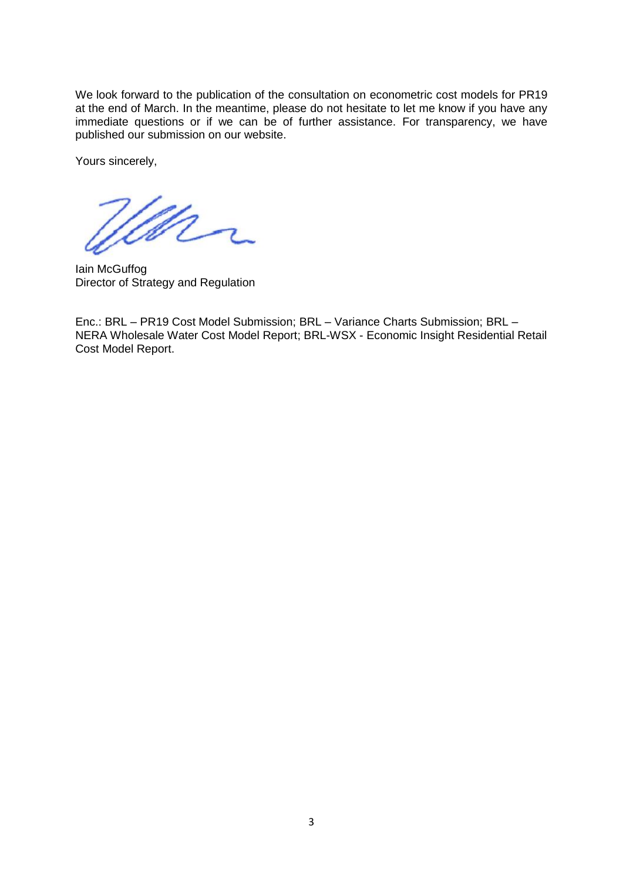We look forward to the publication of the consultation on econometric cost models for PR19 at the end of March. In the meantime, please do not hesitate to let me know if you have any immediate questions or if we can be of further assistance. For transparency, we have published our submission on our website.

Yours sincerely,

Mr

Iain McGuffog Director of Strategy and Regulation

Enc.: BRL – PR19 Cost Model Submission; BRL – Variance Charts Submission; BRL – NERA Wholesale Water Cost Model Report; BRL-WSX - Economic Insight Residential Retail Cost Model Report.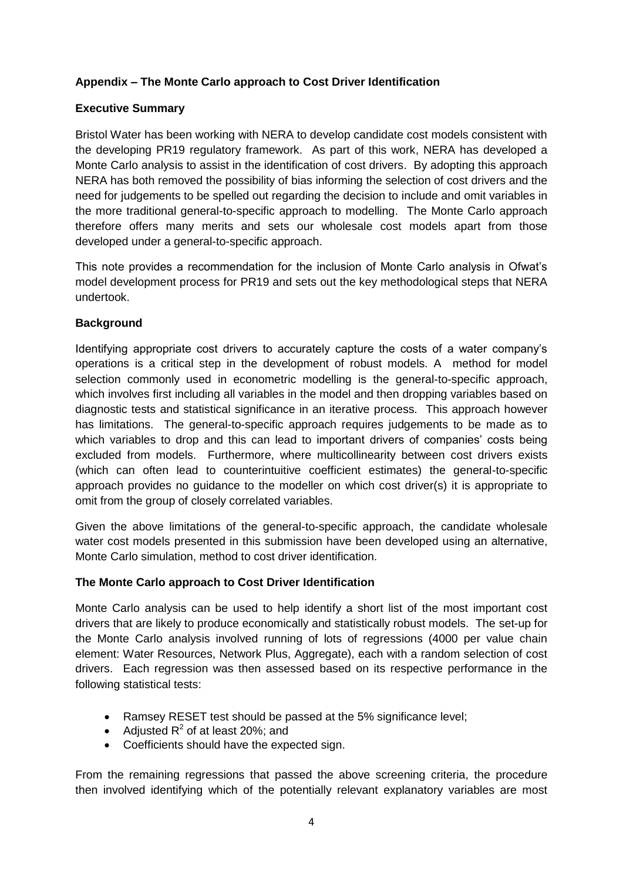# **Appendix – The Monte Carlo approach to Cost Driver Identification**

## **Executive Summary**

Bristol Water has been working with NERA to develop candidate cost models consistent with the developing PR19 regulatory framework. As part of this work, NERA has developed a Monte Carlo analysis to assist in the identification of cost drivers. By adopting this approach NERA has both removed the possibility of bias informing the selection of cost drivers and the need for judgements to be spelled out regarding the decision to include and omit variables in the more traditional general-to-specific approach to modelling. The Monte Carlo approach therefore offers many merits and sets our wholesale cost models apart from those developed under a general-to-specific approach.

This note provides a recommendation for the inclusion of Monte Carlo analysis in Ofwat's model development process for PR19 and sets out the key methodological steps that NERA undertook.

### **Background**

Identifying appropriate cost drivers to accurately capture the costs of a water company's operations is a critical step in the development of robust models. A method for model selection commonly used in econometric modelling is the general-to-specific approach, which involves first including all variables in the model and then dropping variables based on diagnostic tests and statistical significance in an iterative process. This approach however has limitations. The general-to-specific approach requires judgements to be made as to which variables to drop and this can lead to important drivers of companies' costs being excluded from models. Furthermore, where multicollinearity between cost drivers exists (which can often lead to counterintuitive coefficient estimates) the general-to-specific approach provides no guidance to the modeller on which cost driver(s) it is appropriate to omit from the group of closely correlated variables.

Given the above limitations of the general-to-specific approach, the candidate wholesale water cost models presented in this submission have been developed using an alternative, Monte Carlo simulation, method to cost driver identification.

### **The Monte Carlo approach to Cost Driver Identification**

Monte Carlo analysis can be used to help identify a short list of the most important cost drivers that are likely to produce economically and statistically robust models. The set-up for the Monte Carlo analysis involved running of lots of regressions (4000 per value chain element: Water Resources, Network Plus, Aggregate), each with a random selection of cost drivers. Each regression was then assessed based on its respective performance in the following statistical tests:

- Ramsey RESET test should be passed at the 5% significance level;
- Adjusted  $R^2$  of at least 20%; and
- Coefficients should have the expected sign.

From the remaining regressions that passed the above screening criteria, the procedure then involved identifying which of the potentially relevant explanatory variables are most